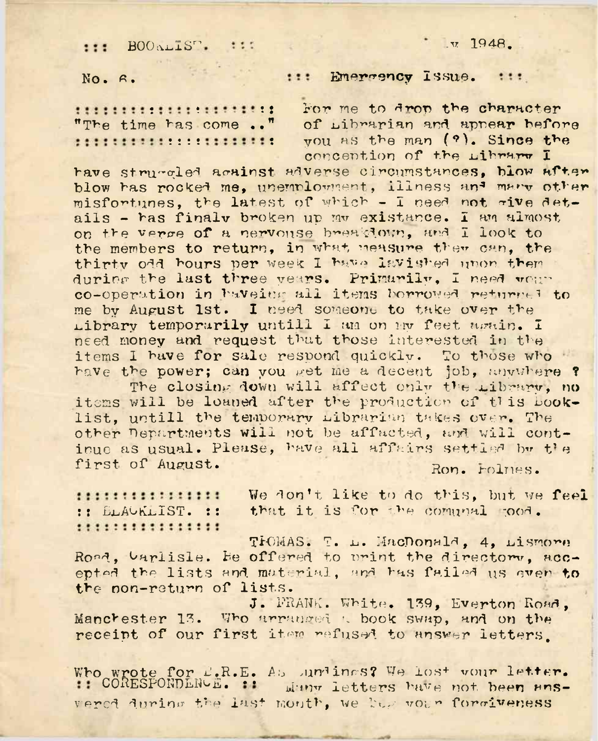B00^1Sri .v 1948.

No. 6. **Example 1:1: Emergency Issue.** :::

concention of the Library I

jtt: For ne to drop the character INININININININININING THE TOP Me to drop the character<br>"The time has come .." of Librarian and appear before<br>ININININININININININING The man (?). Since the ?i!t: you as the man (9). **Since the**

have struced acainst adverse circumstances, blow after blow has rocked me, unemployment, illness and many other misfortunes, the latest of which - I need not rive details - has finalv broken up mv existence. I am almost on the verge of a nervouse breakdown, and I look to the members to return, in what measure ther can, the thirty odd hours per week <sup>1</sup> have lavished unon them during the last three years. Primarily, I need vou" co-operation in haveing all items borrowed returned to me by Aupust 1st. I need someone to take over the Library temporarily untill I am on my feet again. I need money and request that those interested in the items I have for sale respond quickly. To those who have the power; can you get me a decent job, anywhere ?

The closing down will affect only the Library, no items will be loaned after the production of this booklist, untill the temporary librarian takes over. The other Departments will not be affacted, and will continue as usual. Please, have all affairs settled by the first of August. Ron. rolnes.

We don't like to do this, but we **feel** ::::::::::::::::: We don't like to do this, but we<br>:: ELACKLIST. :: that it is for the comunal mood.<br>::::::::::::::::

TIOMAS. T. L. MacDonald, 4, Lismore Road, barlisle. Be offered to urint the directory, accepted the lists and material, and has failed us ever **to** the non-return of lists.

J. FRANK. White. 139. Everton Road, Manchester 13. Who arranged a book swap, and on the receipt of our first item refused to answer letters.

Who wrote for  $L_R$ .E. As ,undincs? We lost vour letter. **CORESPONDENCE. ::** Many letters have not been *ans-*:: CORESPONDENGE. :: Wang letters have not been ans-<br>wered during the last mouth, we beg vour forgiveness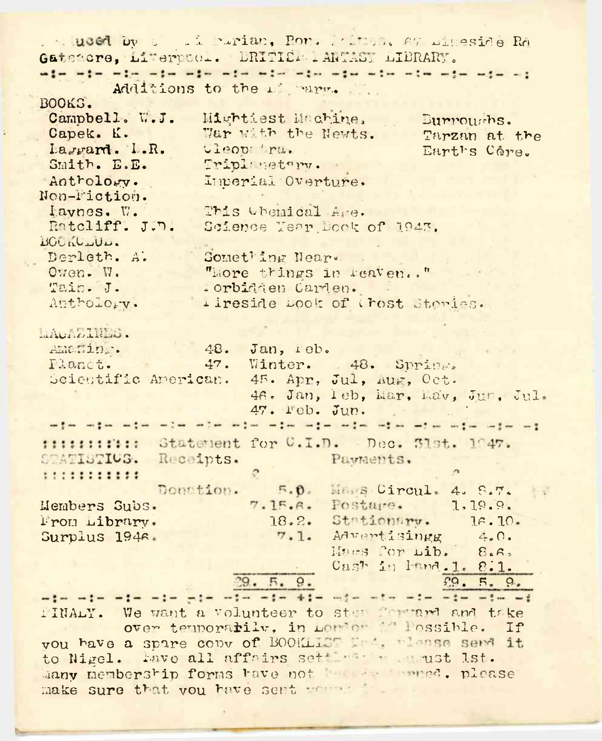Gatstere, Liverucol. DRITIEM IARTAST LIBRARY. Additions to the 1 mars. BOOKS. Campbell. W.J. Mightiest Machine. Burnoughs. Capek. K. War with the Newts. Tarzan at the Lagrard. L.R. Cleop Ira. Earths Core. Smith. E.E. Tripl netapy. Imperial Overture. Antrology. Nen-Fiction. lavnes. W. This themical Are. Ratcliff. J.D. Science Tear Book of 1943. BOOKULUL. Derleth. A. Something Near. Owen. W. "More things in reaven.," Tain. J. iorbidden Carden. Anthology. I ireside Look of trost Steries. LAUDINES. Amaming. 48. Jan. reb. 47. Winter. 48. Springs Planct. Scientific American. 45. Apr, Jul, Aug, Oct. 46. Jan, leb, Mar, Lav, Jun, Jul. 47. Feb. Jun. safar safar safar salah safar safar safar safar safar safar safar safar safar safar safar fittititit: Statement for C.I.D. Dec. 31st. 1047. STATISTIUS. Receipts. Payments.  $\mathcal{C}$ 5.0. Mass Circul. 4. 8.7. Donation. 7.15.6. Postage. 1.19.9. Members Subs. 18.2. Stationary. Prom Library.  $76.70.$ Haes for Lib. 8.40. Surplus 1946.  $7.1.$ Adventisingg Cash in Inna.1. 8.1.  $29.5.9.$  $fQ, F, Q$ who who who who who who who die who who who who who who IINALY. We want a volunteer to step forward and take over temporatily, in Lordon in lossible. If vou have a spare copy of BOOKLIST Led, planse send it to Nigel. Lave all affairs settlesser ust 1st. Many membership forms have not the second please make sure that you have sent working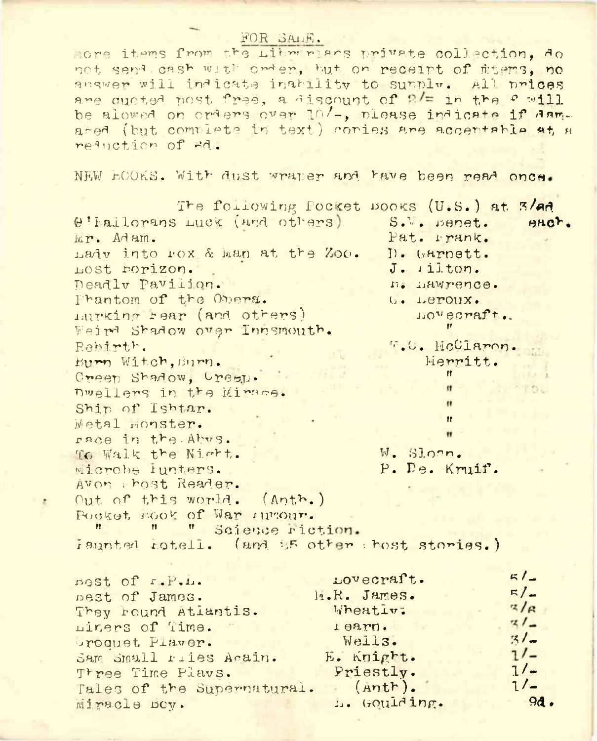## FOR SALE.

hore items from the Librarians private collection. do not send cash with onder, but on receipt of stems, no answer will indicate inability to sunplw. All prices are quoted post free, a discount of 2/= in the 2 will be alowed on orders over 10/-, please indicate if damared (but complete in text) conies are accentable at a reduction of 8d.

NEW ECOKS. With dust wraper and have been read once.

The following Pocket Books (U.S.) at 3/ad @'hallorans Luck (and others) S.V. panet.  $H^{\alpha}$ wr. Adam. Pat. Prank. hady into rox & man at the Zoo. D. Garnett. LOSt. FOrizon.  $J.$   $i$  ilton. neadly Pavilion. n. hawrence. Phantom of the Obera.  $b = \text{Hervolix.}$ lurking rear (and others) LOVecraft. Weir<sup>d</sup> Shadow over Innsmouth. Rehirth. F.C. McClaron. Burn Witch, Burn. Merritt. Creen Shadow, Creen. Dwellers in the Mirace. Ship of Ishtar. Metal monster. race in the Abys. W. Sloan. To Walk the Night. Microbe Iunters. P. De. Kruif. Avon thost Reader. Out of this world.  $(Anth.)$ Pocket, Book of War Aurour. " Science riction. iaunted rotell. (and 25 other thost stories.)  $51$ nest of r.P.L. Lovecraft.  $F/$ nest of James. M.R. James.  $z/\epsilon$ Wheativ: They round Atlantis.  $31 -$ Liners of Time. rearn.  $3/2$ Wells. proquet Player.  $71-$ E. Knight. Sam Small riles Acain. Priestly.  $1/-$ Three Time Plays.  $(\text{enth})$ .  $1/-$ Tales of the Supernatural. L. Goulding.  $9d.$ Miracle BOV.

 $\mathcal{L}$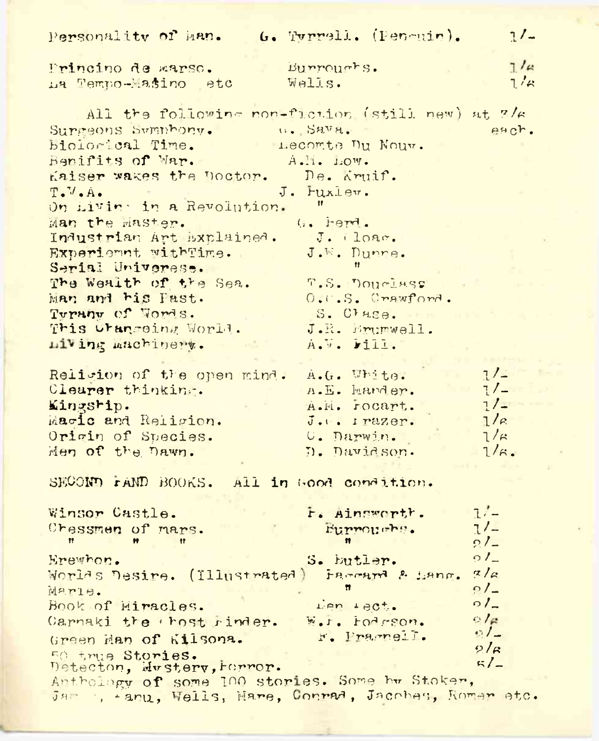| Personality of Man. 6. Tyrrell. (Pencuir).              |                           | 7/4          |  |  |  |
|---------------------------------------------------------|---------------------------|--------------|--|--|--|
|                                                         | Burroughs.                | $7/\alpha$   |  |  |  |
| Princino de marso.                                      | Wells.                    | 7/a          |  |  |  |
| La Tempo-Masino etc                                     |                           |              |  |  |  |
| All the following non-fiction (still new) at 3/6        |                           |              |  |  |  |
|                                                         |                           |              |  |  |  |
| Surgeons Symphony. Sava.                                |                           | each.        |  |  |  |
| biological Time.                                        | <b>E Lecomte Du Nouv.</b> |              |  |  |  |
| Benifits of Mar.<br>Kaiser wakes the Doctor. De. Kruif. | A.I. LOW.                 |              |  |  |  |
|                                                         | J. Fuxlew.                |              |  |  |  |
| $T_{\bullet}$ V.A.                                      |                           |              |  |  |  |
| On Livin in a Revolution.                               |                           |              |  |  |  |
| Man the Master.                                         | G. herd.                  |              |  |  |  |
| Industrian Art Explained. J. (loac.                     |                           |              |  |  |  |
| Experiennt withTime.                                    | J.W. Dunne.               |              |  |  |  |
| Serial Universe.                                        |                           |              |  |  |  |
| The Wealth of the Sea.<br>Man and his Past.             | T.S. DOUGLASS             |              |  |  |  |
|                                                         | $0.0.8.$ Crawford.        |              |  |  |  |
| Tyruny of Words.                                        | S. Clase.                 |              |  |  |  |
| This Urangeing World.                                   | J.R. Erumwell.            |              |  |  |  |
| Living machinert.                                       | A.V. Fill.                |              |  |  |  |
|                                                         |                           | $1/-$        |  |  |  |
| Religion of the open mind.                              | A.G. White.               | 1/2          |  |  |  |
| Clearer thinking.                                       | A.E. Mander.              | 1/2          |  |  |  |
| Kingship.                                               | A.M. rocart.              | 1/c          |  |  |  |
| Macic and Religion.                                     | J.C. Irazer.              | $1/\kappa$   |  |  |  |
| Origin of Species.                                      | U. Darwin.                | $1/\kappa$ . |  |  |  |
| Men of the Dawn.                                        | D. Davidson.              |              |  |  |  |
| SECOND FAND BOOKS. All in Good condition.               |                           |              |  |  |  |
|                                                         |                           |              |  |  |  |
| Winsor Castle.                                          | r. Aingworth.             | $1/-$        |  |  |  |
| Cressmen of mars.                                       | Eurroughs.                | $1/-$        |  |  |  |
| Ħ.                                                      |                           | $2l-$        |  |  |  |
| Erewhon.                                                | S. butler.                | $91 -$       |  |  |  |
| Worlds Desire. (Illustrated) Faccard & Lang.            |                           | Z/a          |  |  |  |
| Marle.                                                  | Ħ                         | $01 -$       |  |  |  |
| Book of Miracles.                                       | Len 180t.                 | $\circ I$    |  |  |  |
| Carnaki the thost rinder. W.r. Fodrson.                 |                           | O/e          |  |  |  |
| Green Man of Kilsona.                                   | F. Fragnell.              | $01-$        |  |  |  |
| 50 true Stories.                                        |                           | $2/\epsilon$ |  |  |  |
| Detecton, Mustery, Forror.                              |                           | 5/2          |  |  |  |
| Anthology of some 100 stories. Some by Stoker,          |                           |              |  |  |  |
| Jam , +anu, Wells, Mare, Conrad, Jacobes, Romar etc.    |                           |              |  |  |  |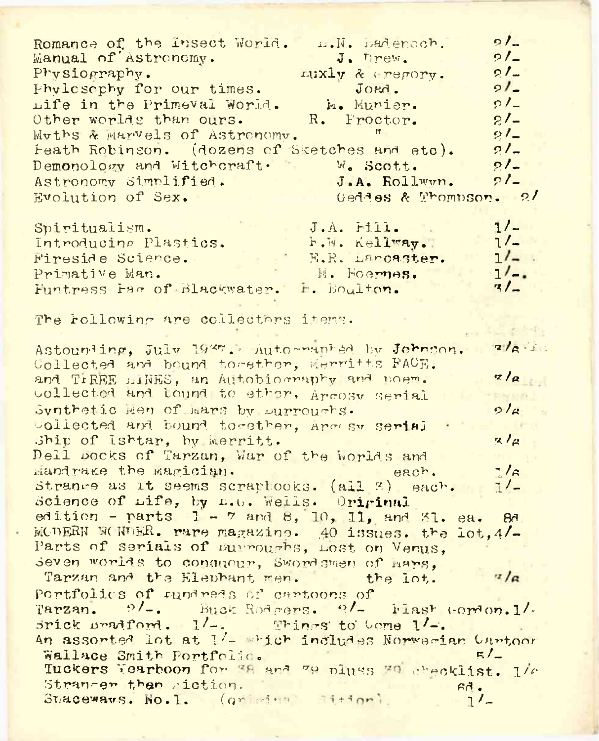Romance of the Insect World. ... N. hadenoch.  $\Omega$ Manual of Astronomy.  $J$ . Drew.  $9/2$ Physiography.  $21 -$ LUXIV & Perory.  $21-$ Phylosophy for our times.  $J$ O<sub>BO</sub> $I$ Life in the Primeval World. M. Munier.  $0/-$ Other worlds than ours. R. Proctor.  $21-$ Muths & Marvels of Astronomy.  $21 -$ Feath Robinson. (dozens of Sketches and etc).  $2/-$ Demonology and Witchcraft.  $21 -$ W. Scott. Astronomy Simplified. J.A. Rollwwn.  $21-$ Evolution of Sex. Geddes & Thompson. 2/  $1/-$ J.A. Fill. Spiritualism. **F.W. Kellway.**  $1/-$ Introducing Plastics. E.R. Lancaster.  $1/-$ . Fireside Science. Primative Man.  $1/-$ M. Hoernes.  $3/2$ Funtress Fac of Blackwater. H. Boulton. The rollowing are collectors items.  $\mathcal{L}_{\mathcal{D}}$  is strictly Astounding, July 1937. Auto-panked by Johnson.  $7/6$ Collected and bound together, Merritts FACE. and TIREE LINES. an Autobiography and poem.  $z/a$ collected and lound to ether, Armosy serial Synthetic Hen of Hars by Durroughs.  $9/a$ collected and bound together, Argesy serial Ship of Ishtar, by Merritt.  $Z/\mu$ Dell pocks of Tarzan, War of the Worlds and Mandrake the Magician.  $7/\beta$ each. Strange as it seems scraphooks. (all 3) each.  $7/2$ Science of Life, by L.U. Wells. Original edition - parts  $1 - 7$  and 8, 10, 11, and 31. ea.  $BA$ MODERN WONDER. rare magazine. 40 issues. the lot. 4/-Parts of serials of nurroughs, Lost on Verus, seven worlds to conquour, Swordsmen of Hars, Tarzan and the Elephant men. the lot.  $\frac{7}{6}$ Portfolics of tundreds of cartoons of Tarzan. 9/-. Buck Rodgers. 9/- Flast Gordon. 1/-Srick Bradford. 1/-. Things to Come 1/-. An assorted lot at 1/- which includes Norwegian Cartoon Wallace Smith Portfolic.  $5/2$ Tuckers Yearboon for 38 and 79 pluss 30 checklist. 1/6 Straneer than riction.  $67.$ Staceways. No. 1. (griming sition)  $7/$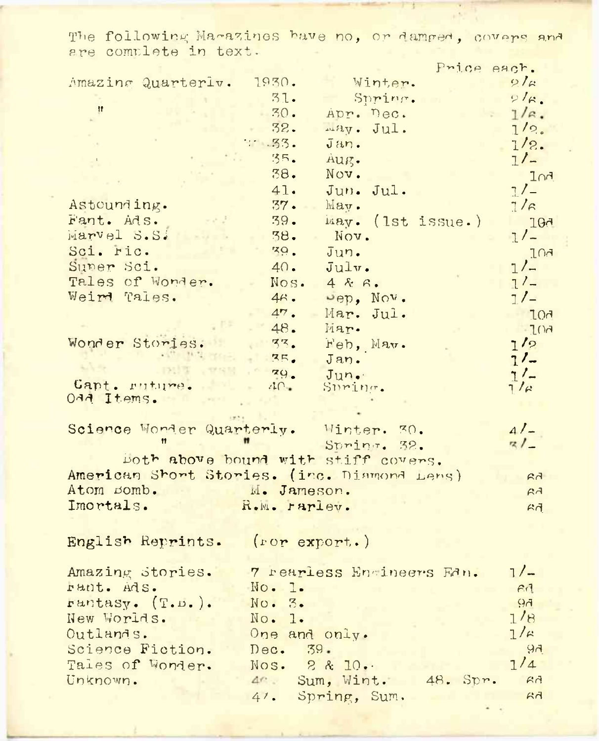The following Magazines have no, or damped, covers and

|                                 | Price each.                                 |                    |
|---------------------------------|---------------------------------------------|--------------------|
| Amazing Quarterly.              | 1930.<br>Winter.                            | $2l_{\mathcal{L}}$ |
|                                 | 31.<br>Spring.                              | $2\sqrt{\kappa}$ . |
| ${ }^{\dagger}{}^{\dagger}$     | .30.<br>Apr. Dec.                           | $1/\alpha$ .       |
|                                 | 32.<br>may. Jul.                            | 1/2.               |
|                                 | $1 - 33.$<br>Jan.                           | 1/2.               |
|                                 | 35.<br>Aug.                                 | $1/-$              |
|                                 | 38.<br>Nov.                                 | InA                |
|                                 | 41.<br>Jun. Jul.                            | $7/_{-}$           |
| Astounding.                     | 37.<br>May.                                 | $1/\epsilon$       |
| Fant. Ads.                      | 39.<br>May. (1st issue.)                    | 10 <sub>0</sub>    |
| Marvel S.S.                     | 38.<br>Nov.                                 | $1/-$              |
| Sci. ric.                       | 79.<br>Jun.                                 | <b>FOG</b>         |
| Super Sci.                      | 40.<br>Julv.                                | $1/-$              |
| Tales of Wonder.                | Nos.<br>4kR.                                | $7/-$              |
| Weird Tales.                    | $4\kappa$ .<br>Dep, Nov.                    | $1/-$              |
|                                 | 47.<br>Mar. Jul.                            | LOA                |
|                                 | 48.<br>Mar.                                 | $-104$             |
| Wonder Stories.                 | $\frac{33}{3}$<br>Feb, Mav.                 | 1/2                |
|                                 | 25.<br>Jan.                                 | $1/-$              |
|                                 | 79.<br>Jun.                                 | $1/-$              |
| Capt. ruture.<br>OAA Items.     | 40.<br>Suring.                              | $7/\rho$           |
|                                 |                                             |                    |
|                                 | Science Wonder Quarterly. Winter. 30.       | $4/-$              |
|                                 | Spring. 32.                                 | $z/_{-}$           |
|                                 | both above bound with stiff covers.         |                    |
|                                 | American Short Stories. (inc. Diamond Lens) | FA                 |
| Atom Bomb. M. Jameson.          |                                             | FA                 |
| Imortals.                       | R.M. rarley.                                | FA                 |
|                                 |                                             |                    |
|                                 |                                             |                    |
| English Reprints. (ror export.) |                                             |                    |
| Amazing Stories.                | 7 rearless Encineers Ean.                   | $1/-$              |
| rant. Ads.                      | No. 1.                                      | FA                 |
|                                 | No. 3.                                      | FQ                 |
| Fantasy. (T.D.).<br>New Worlds. | No. 1.                                      | 1/8                |
| Outlands.                       | One and only.                               | $1/\kappa$         |
| Science Fiction.                | Dec. 39.                                    | 94                 |
| Tales of Wonder.                | Nos. 2 & 10.                                | 1/4                |
| Unknown.                        | 4 <sup>c</sup> . Sum, Wint. 48. Spr.        | 6d                 |
|                                 |                                             | A <sub>1</sub>     |
|                                 | 47. Spring, Sum.                            |                    |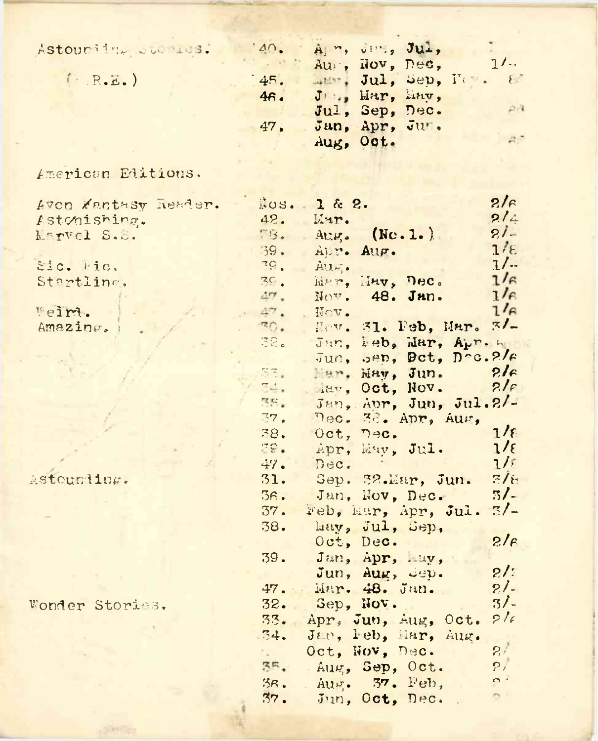| Astouriin, publica.  | 140.           |                     | A ", viii, Jul,             |        |                          |               |
|----------------------|----------------|---------------------|-----------------------------|--------|--------------------------|---------------|
|                      |                |                     | Au <sub>i</sub> , Nov, Dec, |        |                          | $1/\cdots$    |
| $($ $R.E.$           | 45.            |                     |                             |        | ment, Jul, Sep, News, 88 |               |
|                      | 46.            |                     | Jun, Har, Eav,              |        |                          |               |
|                      |                |                     | Jul, Sep, Dec.              |        |                          | $2 - 4$       |
|                      | 47.            |                     | Jan, Apr, Jur.              |        |                          |               |
|                      |                |                     | Aug, Oct.                   |        |                          | $A^*$         |
|                      |                |                     |                             |        |                          |               |
| American Editions.   |                |                     |                             |        |                          |               |
|                      |                |                     |                             |        |                          |               |
| Avon Zantasy Reader. | 1.0S.          | 1 & 2.              |                             |        |                          | $2/\epsilon$  |
| Istonishing.         | 42.            | Mar.                |                             |        |                          | 214           |
| <b>Marvel S.S.</b>   | <b>MS.</b>     | AU.g.               |                             | (Nc.1. |                          | $21 -$        |
|                      | 39.            | Apr.                | Aug.                        |        |                          | $1/\epsilon$  |
| Sic. Mic.            | 39.            | $\text{Al}_M$ .     |                             |        |                          | $1/$          |
| Startling,           | 3 <sub>c</sub> |                     | Mar, Hav, Dec.              |        |                          | $1/\epsilon$  |
|                      | 47.            |                     | Nov. 48. Jan.               |        |                          | $1/\epsilon$  |
| Weirt.               | 47.            | Nov.                |                             |        |                          | $1/\beta$     |
| Amazing.             | 30.7           |                     | Hev. 31. Peb, Mar.          |        |                          | 7/2           |
|                      | 32.            | Jun.                |                             |        | Feb, Mar, Apr. 4         |               |
|                      |                | Jun.                |                             |        | Sep, Det, Dec.2/6        |               |
|                      | NR.            |                     | Mar. May, Jun.              |        |                          | 2le           |
|                      | 54.            |                     | Hav, Oct, Nov.              |        |                          | 2.16          |
|                      | RE.            |                     |                             |        | Jan, Apr, Jun, Jul. 2/-  |               |
|                      | 77.            |                     | Dec. 3d. Apr, Aus,          |        |                          |               |
|                      | 38.            | Oct,                | nec.                        |        |                          | $7/\epsilon$  |
|                      | 79.            |                     | Apr, May, Jul.              |        |                          | $1/\epsilon$  |
|                      | 47.            | Dec.                |                             |        |                          | $1/\tilde{s}$ |
| Astounding.          | 31.            | Sep. 32.Mar, Jun.   |                             |        |                          | $7/\epsilon$  |
|                      | 36.            |                     | Jan, Nov, Dec.              |        |                          | 5/            |
|                      | 37.            | Feb, Mar, Apr, Jul. |                             |        |                          | $\frac{7}{2}$ |
|                      | 38.            |                     | hay, Jul, Sep,              |        |                          |               |
|                      |                |                     | Oct, Dec.                   |        |                          | $2/\epsilon$  |
|                      | 39.            |                     | Jan, Apr, Lav,              |        |                          |               |
|                      |                |                     | Jun, Aug, Sep.              |        |                          | 2!            |
|                      | 47.            |                     | Mar. 48. Jun.               |        |                          | $21 -$        |
| Wonder Stories.      | 32.            |                     | Sep, Nov.                   |        |                          | $3/$ -        |
|                      | 33.            | Apr, Jun, Aug, Oct. |                             |        |                          | 216           |
|                      | 34.            | Jan, leb, Mar, Aug. |                             |        |                          |               |
|                      | S.             | Oct, Nov, Dec.      |                             |        |                          | 2t            |
|                      | 3 <sub>5</sub> | Aug, Sep, Oct.      |                             |        |                          | 2i            |
|                      | 36.            | Aug. 37. Feb,       |                             |        |                          | $\Omega$      |
|                      | $\mathbf{Z}$   | Jun, Oct. Dec.      |                             |        |                          | $\mathcal{D}$ |

**CANTON**